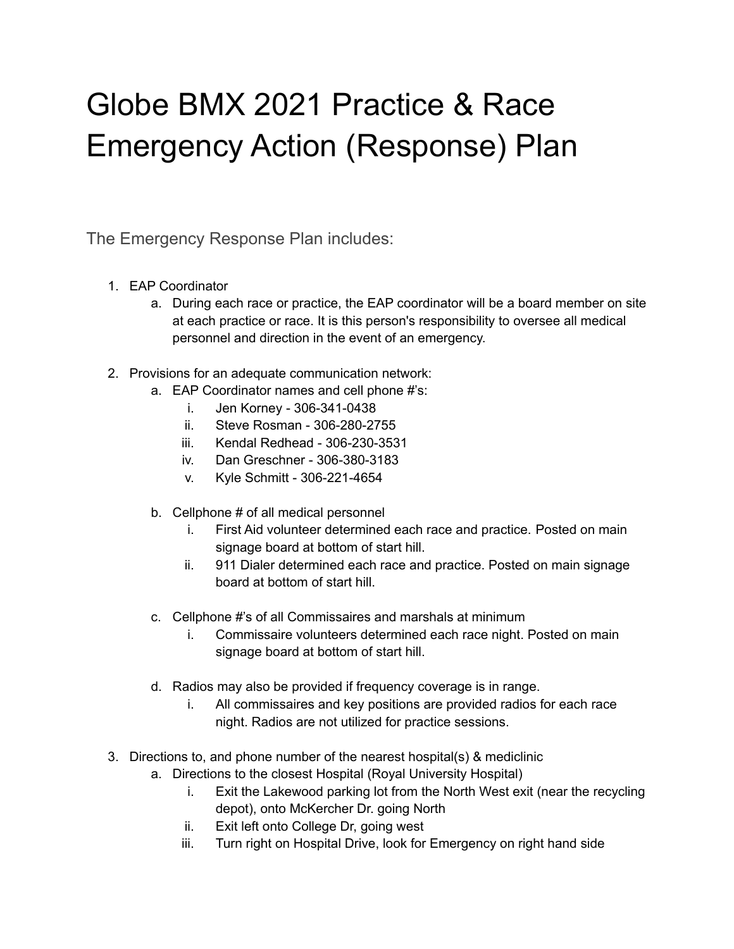## Globe BMX 2021 Practice & Race Emergency Action (Response) Plan

The Emergency Response Plan includes:

- 1. EAP Coordinator
	- a. During each race or practice, the EAP coordinator will be a board member on site at each practice or race. It is this person's responsibility to oversee all medical personnel and direction in the event of an emergency.
- 2. Provisions for an adequate communication network:
	- a. EAP Coordinator names and cell phone #'s:
		- i. Jen Korney 306-341-0438
		- ii. Steve Rosman 306-280-2755
		- iii. Kendal Redhead 306-230-3531
		- iv. Dan Greschner 306-380-3183
		- v. Kyle Schmitt 306-221-4654
	- b. Cellphone # of all medical personnel
		- i. First Aid volunteer determined each race and practice. Posted on main signage board at bottom of start hill.
		- ii. 911 Dialer determined each race and practice. Posted on main signage board at bottom of start hill.
	- c. Cellphone #'s of all Commissaires and marshals at minimum
		- i. Commissaire volunteers determined each race night. Posted on main signage board at bottom of start hill.
	- d. Radios may also be provided if frequency coverage is in range.
		- i. All commissaires and key positions are provided radios for each race night. Radios are not utilized for practice sessions.
- 3. Directions to, and phone number of the nearest hospital(s) & mediclinic
	- a. Directions to the closest Hospital (Royal University Hospital)
		- i. Exit the Lakewood parking lot from the North West exit (near the recycling depot), onto McKercher Dr. going North
		- ii. Exit left onto College Dr, going west
		- iii. Turn right on Hospital Drive, look for Emergency on right hand side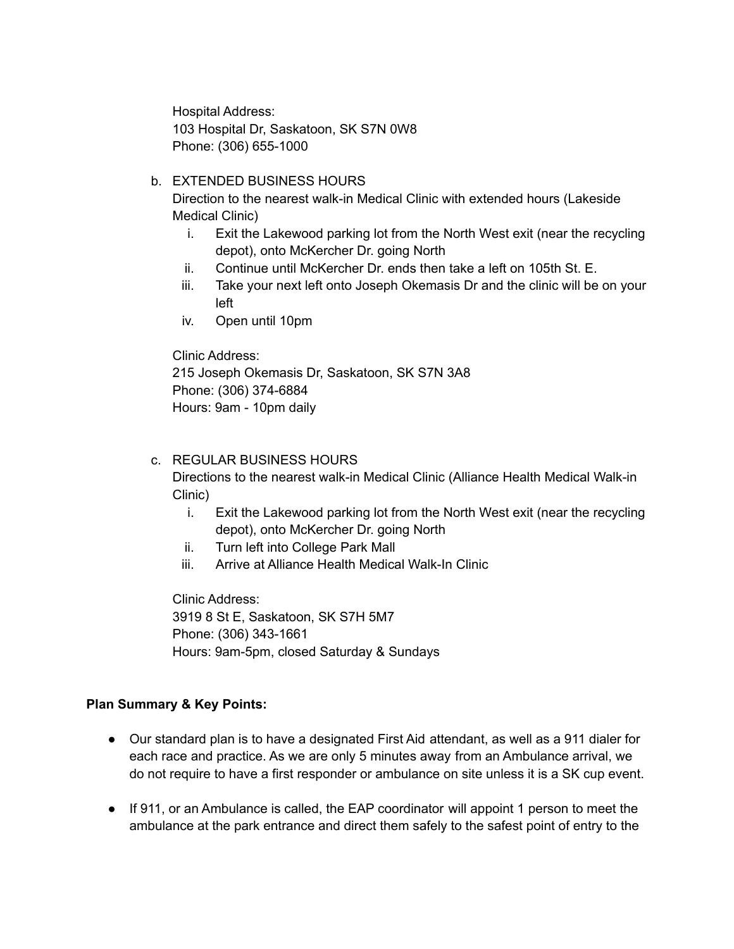Hospital Address: 103 Hospital Dr, Saskatoon, SK S7N 0W8 Phone: (306) 655-1000

## b. EXTENDED BUSINESS HOURS

Direction to the nearest walk-in Medical Clinic with extended hours (Lakeside Medical Clinic)

- i. Exit the Lakewood parking lot from the North West exit (near the recycling depot), onto McKercher Dr. going North
- ii. Continue until McKercher Dr. ends then take a left on 105th St. E.
- iii. Take your next left onto Joseph Okemasis Dr and the clinic will be on your left
- iv. Open until 10pm

Clinic Address: 215 Joseph Okemasis Dr, Saskatoon, SK S7N 3A8 Phone: (306) 374-6884 Hours: 9am - 10pm daily

## c. REGULAR BUSINESS HOURS

Directions to the nearest walk-in Medical Clinic (Alliance Health Medical Walk-in Clinic)

- i. Exit the Lakewood parking lot from the North West exit (near the recycling depot), onto McKercher Dr. going North
- ii. Turn left into College Park Mall
- iii. Arrive at Alliance Health Medical Walk-In Clinic

Clinic Address: 3919 8 St E, Saskatoon, SK S7H 5M7 Phone: (306) 343-1661 Hours: 9am-5pm, closed Saturday & Sundays

## **Plan Summary & Key Points:**

- Our standard plan is to have a designated First Aid attendant, as well as a 911 dialer for each race and practice. As we are only 5 minutes away from an Ambulance arrival, we do not require to have a first responder or ambulance on site unless it is a SK cup event.
- If 911, or an Ambulance is called, the EAP coordinator will appoint 1 person to meet the ambulance at the park entrance and direct them safely to the safest point of entry to the